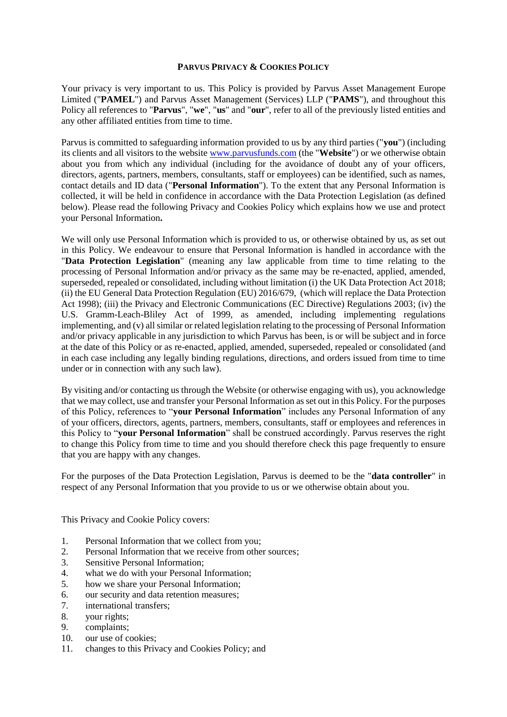### **PARVUS PRIVACY & COOKIES POLICY**

Your privacy is very important to us. This Policy is provided by Parvus Asset Management Europe Limited ("**PAMEL**") and Parvus Asset Management (Services) LLP ("**PAMS**"), and throughout this Policy all references to "**Parvus**", "**we**", "**us**" and "**our**", refer to all of the previously listed entities and any other affiliated entities from time to time.

Parvus is committed to safeguarding information provided to us by any third parties ("**you**") (including its clients and all visitors to the website [www.parvusfunds.com](http://www.parvusfunds.com/) (the "**Website**") or we otherwise obtain about you from which any individual (including for the avoidance of doubt any of your officers, directors, agents, partners, members, consultants, staff or employees) can be identified, such as names, contact details and ID data ("**Personal Information**"). To the extent that any Personal Information is collected, it will be held in confidence in accordance with the Data Protection Legislation (as defined below). Please read the following Privacy and Cookies Policy which explains how we use and protect your Personal Information**.**

We will only use Personal Information which is provided to us, or otherwise obtained by us, as set out in this Policy. We endeavour to ensure that Personal Information is handled in accordance with the "**Data Protection Legislation**" (meaning any law applicable from time to time relating to the processing of Personal Information and/or privacy as the same may be re-enacted, applied, amended, superseded, repealed or consolidated, including without limitation (i) the UK Data Protection Act 2018; (ii) the EU General Data Protection Regulation (EU) 2016/679, (which will replace the Data Protection Act 1998); (iii) the Privacy and Electronic Communications (EC Directive) Regulations 2003; (iv) the U.S. Gramm-Leach-Bliley Act of 1999, as amended, including implementing regulations implementing, and (v) all similar or related legislation relating to the processing of Personal Information and/or privacy applicable in any jurisdiction to which Parvus has been, is or will be subject and in force at the date of this Policy or as re-enacted, applied, amended, superseded, repealed or consolidated (and in each case including any legally binding regulations, directions, and orders issued from time to time under or in connection with any such law).

By visiting and/or contacting us through the Website (or otherwise engaging with us), you acknowledge that we may collect, use and transfer your Personal Information as set out in this Policy. For the purposes of this Policy, references to "**your Personal Information**" includes any Personal Information of any of your officers, directors, agents, partners, members, consultants, staff or employees and references in this Policy to "**your Personal Information**" shall be construed accordingly. Parvus reserves the right to change this Policy from time to time and you should therefore check this page frequently to ensure that you are happy with any changes.

For the purposes of the Data Protection Legislation, Parvus is deemed to be the "**data controller**" in respect of any Personal Information that you provide to us or we otherwise obtain about you.

This Privacy and Cookie Policy covers:

- 1. Personal Information that we collect from you;
- 2. Personal Information that we receive from other sources;
- 3. Sensitive Personal Information;
- 4. what we do with your Personal Information;
- 5. how we share your Personal Information;
- 6. our security and data retention measures;
- 7. international transfers;
- 8. your rights;
- 9. complaints;
- 10. our use of cookies;
- 11. changes to this Privacy and Cookies Policy; and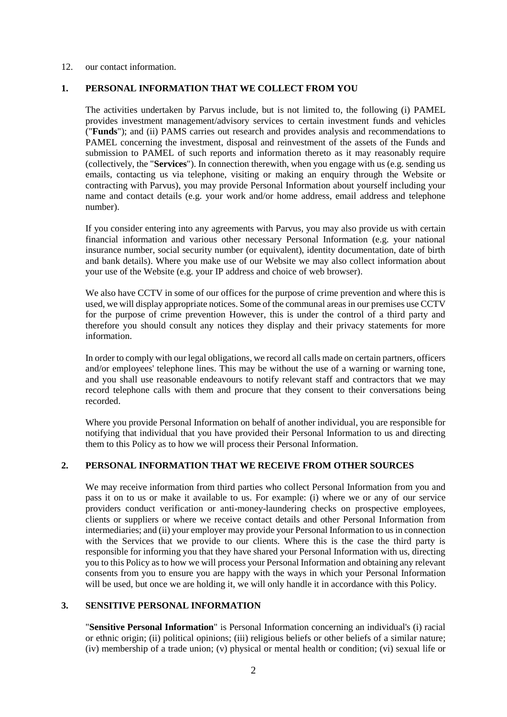#### 12. our contact information.

### **1. PERSONAL INFORMATION THAT WE COLLECT FROM YOU**

The activities undertaken by Parvus include, but is not limited to, the following (i) PAMEL provides investment management/advisory services to certain investment funds and vehicles ("**Funds**"); and (ii) PAMS carries out research and provides analysis and recommendations to PAMEL concerning the investment, disposal and reinvestment of the assets of the Funds and submission to PAMEL of such reports and information thereto as it may reasonably require (collectively, the "**Services**"). In connection therewith, when you engage with us (e.g. sending us emails, contacting us via telephone, visiting or making an enquiry through the Website or contracting with Parvus), you may provide Personal Information about yourself including your name and contact details (e.g. your work and/or home address, email address and telephone number).

If you consider entering into any agreements with Parvus, you may also provide us with certain financial information and various other necessary Personal Information (e.g. your national insurance number, social security number (or equivalent), identity documentation, date of birth and bank details). Where you make use of our Website we may also collect information about your use of the Website (e.g. your IP address and choice of web browser).

We also have CCTV in some of our offices for the purpose of crime prevention and where this is used, we will display appropriate notices. Some of the communal areas in our premises use CCTV for the purpose of crime prevention However, this is under the control of a third party and therefore you should consult any notices they display and their privacy statements for more information.

In order to comply with our legal obligations, we record all calls made on certain partners, officers and/or employees' telephone lines. This may be without the use of a warning or warning tone, and you shall use reasonable endeavours to notify relevant staff and contractors that we may record telephone calls with them and procure that they consent to their conversations being recorded.

Where you provide Personal Information on behalf of another individual, you are responsible for notifying that individual that you have provided their Personal Information to us and directing them to this Policy as to how we will process their Personal Information.

# **2. PERSONAL INFORMATION THAT WE RECEIVE FROM OTHER SOURCES**

We may receive information from third parties who collect Personal Information from you and pass it on to us or make it available to us. For example: (i) where we or any of our service providers conduct verification or anti-money-laundering checks on prospective employees, clients or suppliers or where we receive contact details and other Personal Information from intermediaries; and (ii) your employer may provide your Personal Information to us in connection with the Services that we provide to our clients. Where this is the case the third party is responsible for informing you that they have shared your Personal Information with us, directing you to this Policy as to how we will process your Personal Information and obtaining any relevant consents from you to ensure you are happy with the ways in which your Personal Information will be used, but once we are holding it, we will only handle it in accordance with this Policy.

### **3. SENSITIVE PERSONAL INFORMATION**

"**Sensitive Personal Information**" is Personal Information concerning an individual's (i) racial or ethnic origin; (ii) political opinions; (iii) religious beliefs or other beliefs of a similar nature; (iv) membership of a trade union; (v) physical or mental health or condition; (vi) sexual life or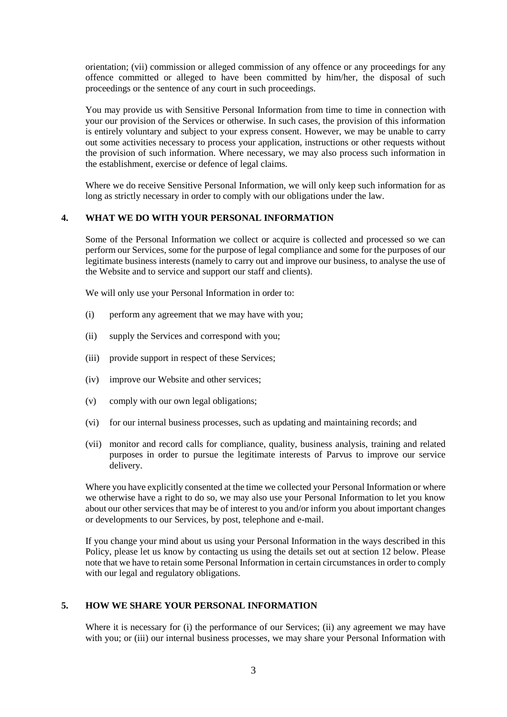orientation; (vii) commission or alleged commission of any offence or any proceedings for any offence committed or alleged to have been committed by him/her, the disposal of such proceedings or the sentence of any court in such proceedings.

You may provide us with Sensitive Personal Information from time to time in connection with your our provision of the Services or otherwise. In such cases, the provision of this information is entirely voluntary and subject to your express consent. However, we may be unable to carry out some activities necessary to process your application, instructions or other requests without the provision of such information. Where necessary, we may also process such information in the establishment, exercise or defence of legal claims.

Where we do receive Sensitive Personal Information, we will only keep such information for as long as strictly necessary in order to comply with our obligations under the law.

### **4. WHAT WE DO WITH YOUR PERSONAL INFORMATION**

Some of the Personal Information we collect or acquire is collected and processed so we can perform our Services, some for the purpose of legal compliance and some for the purposes of our legitimate business interests (namely to carry out and improve our business, to analyse the use of the Website and to service and support our staff and clients).

We will only use your Personal Information in order to:

- (i) perform any agreement that we may have with you;
- (ii) supply the Services and correspond with you;
- (iii) provide support in respect of these Services;
- (iv) improve our Website and other services;
- (v) comply with our own legal obligations;
- (vi) for our internal business processes, such as updating and maintaining records; and
- (vii) monitor and record calls for compliance, quality, business analysis, training and related purposes in order to pursue the legitimate interests of Parvus to improve our service delivery.

Where you have explicitly consented at the time we collected your Personal Information or where we otherwise have a right to do so, we may also use your Personal Information to let you know about our other services that may be of interest to you and/or inform you about important changes or developments to our Services, by post, telephone and e-mail.

If you change your mind about us using your Personal Information in the ways described in this Policy, please let us know by contacting us using the details set out at section 12 below. Please note that we have to retain some Personal Information in certain circumstances in order to comply with our legal and regulatory obligations.

### **5. HOW WE SHARE YOUR PERSONAL INFORMATION**

Where it is necessary for (i) the performance of our Services; (ii) any agreement we may have with you; or (iii) our internal business processes, we may share your Personal Information with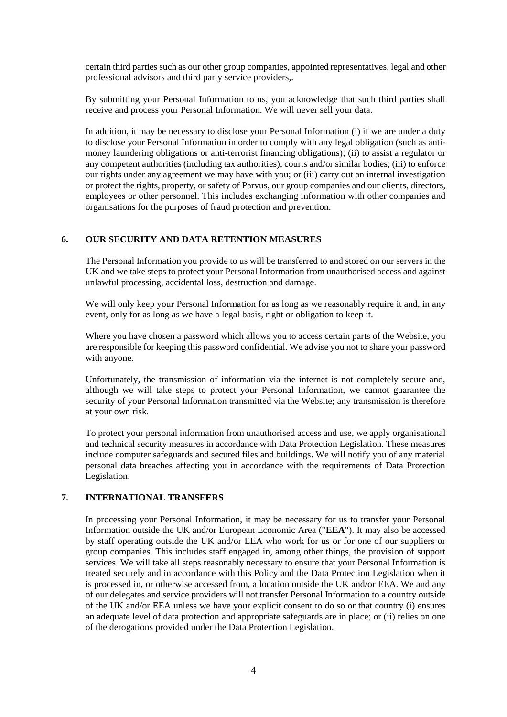certain third parties such as our other group companies, appointed representatives, legal and other professional advisors and third party service providers,.

By submitting your Personal Information to us, you acknowledge that such third parties shall receive and process your Personal Information. We will never sell your data.

In addition, it may be necessary to disclose your Personal Information (i) if we are under a duty to disclose your Personal Information in order to comply with any legal obligation (such as antimoney laundering obligations or anti-terrorist financing obligations); (ii) to assist a regulator or any competent authorities (including tax authorities), courts and/or similar bodies; (iii) to enforce our rights under any agreement we may have with you; or (iii) carry out an internal investigation or protect the rights, property, or safety of Parvus, our group companies and our clients, directors, employees or other personnel. This includes exchanging information with other companies and organisations for the purposes of fraud protection and prevention.

### **6. OUR SECURITY AND DATA RETENTION MEASURES**

The Personal Information you provide to us will be transferred to and stored on our servers in the UK and we take steps to protect your Personal Information from unauthorised access and against unlawful processing, accidental loss, destruction and damage.

We will only keep your Personal Information for as long as we reasonably require it and, in any event, only for as long as we have a legal basis, right or obligation to keep it.

Where you have chosen a password which allows you to access certain parts of the Website, you are responsible for keeping this password confidential. We advise you not to share your password with anyone.

Unfortunately, the transmission of information via the internet is not completely secure and, although we will take steps to protect your Personal Information, we cannot guarantee the security of your Personal Information transmitted via the Website; any transmission is therefore at your own risk.

To protect your personal information from unauthorised access and use, we apply organisational and technical security measures in accordance with Data Protection Legislation. These measures include computer safeguards and secured files and buildings. We will notify you of any material personal data breaches affecting you in accordance with the requirements of Data Protection Legislation.

# **7. INTERNATIONAL TRANSFERS**

In processing your Personal Information, it may be necessary for us to transfer your Personal Information outside the UK and/or European Economic Area ("**EEA**"). It may also be accessed by staff operating outside the UK and/or EEA who work for us or for one of our suppliers or group companies. This includes staff engaged in, among other things, the provision of support services. We will take all steps reasonably necessary to ensure that your Personal Information is treated securely and in accordance with this Policy and the Data Protection Legislation when it is processed in, or otherwise accessed from, a location outside the UK and/or EEA. We and any of our delegates and service providers will not transfer Personal Information to a country outside of the UK and/or EEA unless we have your explicit consent to do so or that country (i) ensures an adequate level of data protection and appropriate safeguards are in place; or (ii) relies on one of the derogations provided under the Data Protection Legislation.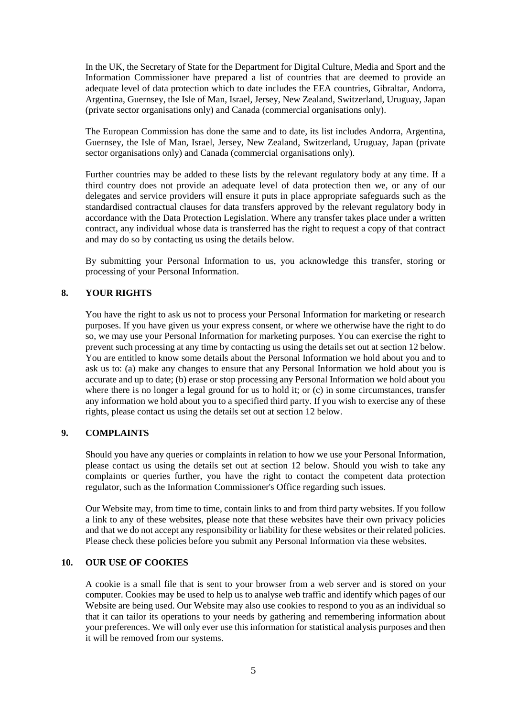In the UK, the Secretary of State for the Department for Digital Culture, Media and Sport and the Information Commissioner have prepared a list of countries that are deemed to provide an adequate level of data protection which to date includes the EEA countries, Gibraltar, Andorra, Argentina, Guernsey, the Isle of Man, Israel, Jersey, New Zealand, Switzerland, Uruguay, Japan (private sector organisations only) and Canada (commercial organisations only).

The European Commission has done the same and to date, its list includes Andorra, Argentina, Guernsey, the Isle of Man, Israel, Jersey, New Zealand, Switzerland, Uruguay, Japan (private sector organisations only) and Canada (commercial organisations only).

Further countries may be added to these lists by the relevant regulatory body at any time. If a third country does not provide an adequate level of data protection then we, or any of our delegates and service providers will ensure it puts in place appropriate safeguards such as the standardised contractual clauses for data transfers approved by the relevant regulatory body in accordance with the Data Protection Legislation. Where any transfer takes place under a written contract, any individual whose data is transferred has the right to request a copy of that contract and may do so by contacting us using the details below.

By submitting your Personal Information to us, you acknowledge this transfer, storing or processing of your Personal Information.

# **8. YOUR RIGHTS**

You have the right to ask us not to process your Personal Information for marketing or research purposes. If you have given us your express consent, or where we otherwise have the right to do so, we may use your Personal Information for marketing purposes. You can exercise the right to prevent such processing at any time by contacting us using the details set out at section 12 below. You are entitled to know some details about the Personal Information we hold about you and to ask us to: (a) make any changes to ensure that any Personal Information we hold about you is accurate and up to date; (b) erase or stop processing any Personal Information we hold about you where there is no longer a legal ground for us to hold it; or (c) in some circumstances, transfer any information we hold about you to a specified third party. If you wish to exercise any of these rights, please contact us using the details set out at section 12 below.

# **9. COMPLAINTS**

Should you have any queries or complaints in relation to how we use your Personal Information, please contact us using the details set out at section 12 below. Should you wish to take any complaints or queries further, you have the right to contact the competent data protection regulator, such as the Information Commissioner's Office regarding such issues.

Our Website may, from time to time, contain links to and from third party websites. If you follow a link to any of these websites, please note that these websites have their own privacy policies and that we do not accept any responsibility or liability for these websites or their related policies. Please check these policies before you submit any Personal Information via these websites.

# **10. OUR USE OF COOKIES**

A cookie is a small file that is sent to your browser from a web server and is stored on your computer. Cookies may be used to help us to analyse web traffic and identify which pages of our Website are being used. Our Website may also use cookies to respond to you as an individual so that it can tailor its operations to your needs by gathering and remembering information about your preferences. We will only ever use this information for statistical analysis purposes and then it will be removed from our systems.